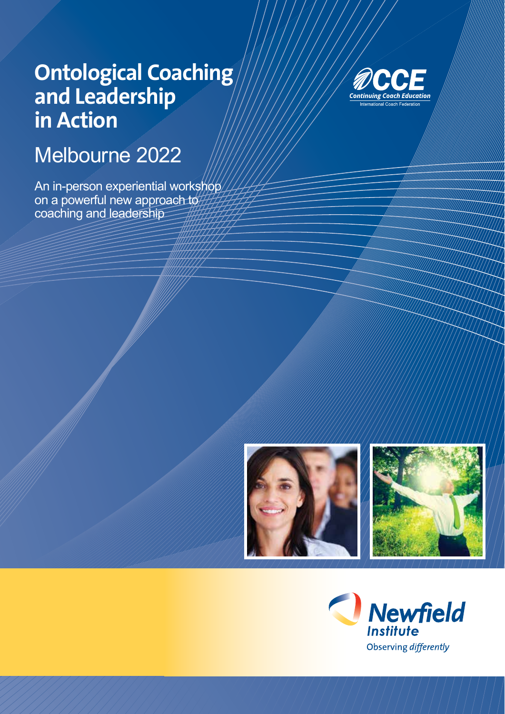# **Ontological Coaching and Leadership in Action**

## Melbourne 2022

An in-person experiential workshop on a powerful new approach to coaching and leadership





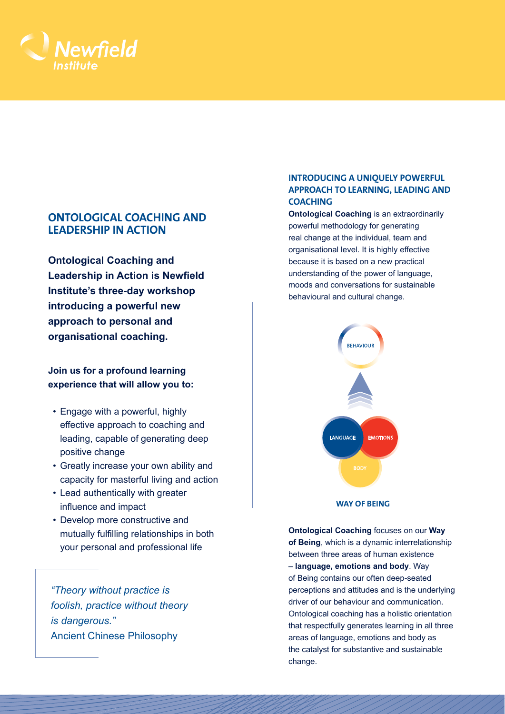

## **ONTOLOGICAL COACHING AND LEADERSHIP IN ACTION**

**Ontological Coaching and Leadership in Action is Newfield Institute's three-day workshop introducing a powerful new approach to personal and organisational coaching.**

**Join us for a profound learning experience that will allow you to:**

- Engage with a powerful, highly effective approach to coaching and leading, capable of generating deep positive change
- Greatly increase your own ability and capacity for masterful living and action
- Lead authentically with greater influence and impact
- Develop more constructive and mutually fulfilling relationships in both your personal and professional life

*"Theory without practice is foolish, practice without theory is dangerous."*  Ancient Chinese Philosophy

## **INTRODUCING A UNIQUELY POWERFUL APPROACH TO LEARNING, LEADING AND COACHING**

**Ontological Coaching** is an extraordinarily powerful methodology for generating real change at the individual, team and organisational level. It is highly effective because it is based on a new practical understanding of the power of language, moods and conversations for sustainable behavioural and cultural change.



**WAY OF BEING**

**Ontological Coaching** focuses on our **Way of Being**, which is a dynamic interrelationship between three areas of human existence – **language, emotions and body**. Way of Being contains our often deep-seated perceptions and attitudes and is the underlying driver of our behaviour and communication. Ontological coaching has a holistic orientation that respectfully generates learning in all three areas of language, emotions and body as the catalyst for substantive and sustainable change.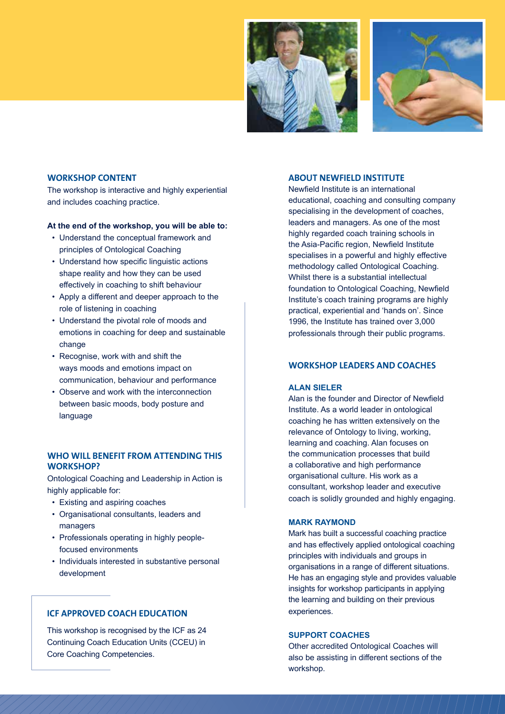



#### **WORKSHOP CONTENT**

The workshop is interactive and highly experiential and includes coaching practice.

#### **At the end of the workshop, you will be able to:**

- Understand the conceptual framework and principles of Ontological Coaching
- Understand how specific linguistic actions shape reality and how they can be used effectively in coaching to shift behaviour
- Apply a different and deeper approach to the role of listening in coaching
- Understand the pivotal role of moods and emotions in coaching for deep and sustainable change
- Recognise, work with and shift the ways moods and emotions impact on communication, behaviour and performance
- Observe and work with the interconnection between basic moods, body posture and language

### **WHO WILL BENEFIT FROM ATTENDING THIS WORKSHOP?**

Ontological Coaching and Leadership in Action is highly applicable for:

- Existing and aspiring coaches
- Organisational consultants, leaders and managers
- Professionals operating in highly peoplefocused environments
- Individuals interested in substantive personal development

## **ICF APPROVED COACH EDUCATION**

This workshop is recognised by the ICF as 24 Continuing Coach Education Units (CCEU) in Core Coaching Competencies.

#### **ABOUT NEWFIELD INSTITUTE**

Newfield Institute is an international educational, coaching and consulting company specialising in the development of coaches, leaders and managers. As one of the most highly regarded coach training schools in the Asia-Pacific region, Newfield Institute specialises in a powerful and highly effective methodology called Ontological Coaching. Whilst there is a substantial intellectual foundation to Ontological Coaching, Newfield Institute's coach training programs are highly practical, experiential and 'hands on'. Since 1996, the Institute has trained over 3,000 professionals through their public programs.

## **WORKSHOP LEADERS AND COACHES**

### **ALAN SIELER**

Alan is the founder and Director of Newfield Institute. As a world leader in ontological coaching he has written extensively on the relevance of Ontology to living, working, learning and coaching. Alan focuses on the communication processes that build a collaborative and high performance organisational culture. His work as a consultant, workshop leader and executive coach is solidly grounded and highly engaging.

#### **MARK RAYMOND**

Mark has built a successful coaching practice and has effectively applied ontological coaching principles with individuals and groups in organisations in a range of different situations. He has an engaging style and provides valuable insights for workshop participants in applying the learning and building on their previous experiences.

#### **SUPPORT COACHES**

Other accredited Ontological Coaches will also be assisting in different sections of the workshop.